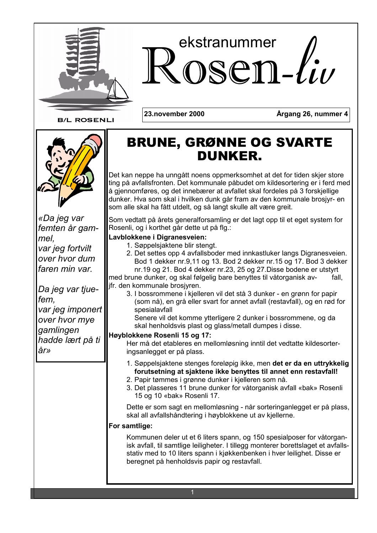

# ekstranummer osen-liv

**B/L ROSENLI** 

23.november 2000

Årgang 26, nummer 4



«Da jeg var femten år gammel. var jeg fortvilt over hvor dum faren min var.

Da jeg var tjuefem. var jeg imponert over hvor mye gamlingen hadde lært på ti år»

# **BRUNE, GRØNNE OG SVARTE DUNKER.**

Det kan neppe ha unngått noens oppmerksomhet at det for tiden skjer store ting på avfallsfronten. Det kommunale påbudet om kildesortering er i ferd med å gjennomføres, og det innebærer at avfallet skal fordeles på 3 forskjellige dunker. Hva som skal i hvilken dunk går fram av den kommunale brosjyr- en som alle skal ha fått utdelt, og så langt skulle alt være greit.

Som vedtatt på årets generalforsamling er det lagt opp til et eget system for Rosenli, og i korthet går dette ut på flg.:

### Lavblokkene i Digranesveien:

- 1. Søppelsjaktene blir stengt.
- 2. Det settes opp 4 avfallsboder med innkastluker langs Digranesveien. Bod 1 dekker nr.9,11 og 13. Bod 2 dekker nr.15 og 17. Bod 3 dekker nr.19 og 21. Bod 4 dekker nr.23, 25 og 27. Disse bodene er utstyrt med brune dunker, og skal følgelig bare benyttes til våtorganisk avfall

#### jfr. den kommunale brosjyren.

3. I bossrommene i kjelleren vil det stå 3 dunker - en grønn for papir (som nå), en grå eller svart for annet avfall (restavfall), og en rød for spesialavfall

Senere vil det komme ytterligere 2 dunker i bossrommene, og da skal henholdsvis plast og glass/metall dumpes i disse.

#### Høyblokkene Rosenli 15 og 17:

Her må det etableres en mellomløsning inntil det vedtatte kildesorteringsanlegget er på plass.

- 1. Søppelsjaktene stenges foreløpig ikke, men det er da en uttrykkelig forutsetning at siaktene ikke benyttes til annet enn restavfall!
- 2. Papir tømmes i grønne dunker i kjelleren som nå.
- 3. Det plasseres 11 brune dunker for våtorganisk avfall «bak» Rosenli 15 og 10 «bak» Rosenli 17.

Dette er som sagt en mellomløsning - når sorteringanlegget er på plass, skal all avfallshåndtering i høyblokkene ut av kjellerne.

### For samtlige:

Kommunen deler ut et 6 liters spann, og 150 spesialposer for våtorganisk avfall, til samtlige leiligheter. I tillegg monterer borettslaget et avfallsstativ med to 10 liters spann i kjøkkenbenken i hver leilighet. Disse er beregnet på henholdsvis papir og restavfall.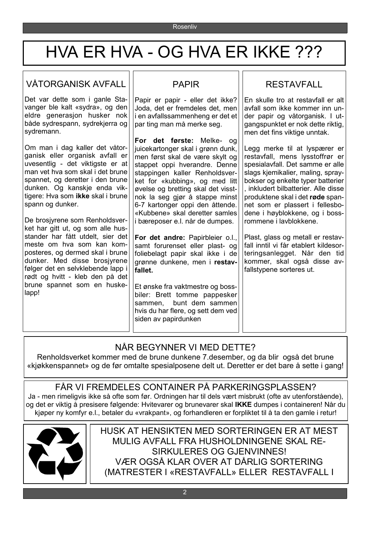# HVA ER HVA - OG HVA ER IKKE ???

# VÅTORGANISK AVFALL

Det var dette som i ganle Stavanger ble kalt «sydra», og den eldre generasion husker nok både sydrespann, sydrekjerra og sydremann.

Om man i dag kaller det våtorganisk eller organisk avfall er uvesentlig - det viktigste er at man vet hva som skal i det brune spannet, og deretter i den brune dunken. Og kanskje enda viktigere: Hya som ikke skal i brune spann og dunker.

De brosivrene som Renholdsverket har gitt ut. og som alle husstander har fått utdelt, sier det meste om hva som kan komposteres, og dermed skal i brune dunker. Med disse brosjyrene følger det en selvklebende lapp i rødt og hvitt - kleb den på det brune spannet som en huskelapp!

# **PAPIR**

Papir er papir - eller det ikke? Joda, det er fremdeles det, men i en avfallssammenheng er det et par ting man må merke seg.

For det første: Melke- og juicekartonger skal i grønn dunk, men først skal de være skylt og stappet oppi hyerandre. Denne stappingen kaller Renholdsverket for «kubbing», og med litt øvelse og bretting skal det visstnok la seg gjør å stappe minst 6-7 kartonger oppi den åttende. «Kubbene» skal deretter samles i bæreposer e.l. når de dumpes.

For det andre: Papirbleier o.l., samt forurenset eller plast- og foliebelagt papir skal ikke i de grønne dunkene, men i restavfallet.

Et ønske fra vaktmestre og bossbiler: Brett tomme pappesker bunt dem sammen sammen. hvis du har flere, og sett dem ved siden av papirdunken

### **RESTAVFALL**

En skulle tro at restavfall er alt avfall som ikke kommer inn under papir og våtorganisk. I utgangspunktet er nok dette riktig. men det fins viktige unntak.

Legg merke til at lyspærer er restavfall, mens lysstoffrør er spesialavfall. Det samme er alle slags kjemikalier, maling, spraybokser og enkelte typer batterier , inkludert bilbatterier. Alle disse produktene skal i det røde spannet som er plassert i fellesbodene i høyblokkene, og i bossrommene i lavblokkene.

Plast, glass og metall er restavfall inntil vi får etablert kildesorteringsanlegget. Når den tid kommer, skal også disse avfallstypene sorteres ut.

### NÅR BEGYNNER VI MED DETTE?

Renholdsverket kommer med de brune dunkene 7.desember, og da blir også det brune «kiøkkenspannet» og de før omtalte spesialposene delt ut. Deretter er det bare å sette i gang!

FÅR VI FREMDELES CONTAINER PÅ PARKERINGSPLASSEN? Ja - men rimeligvis ikke så ofte som før. Ordningen har til dels vært misbrukt (ofte av utenforstående). og det er viktig å presisere følgende: Hvitevarer og brunevarer skal IKKE dumpes i containeren! Når du kjøper ny komfyr e.l., betaler du «vrakpant», og forhandleren er forpliktet til å ta den gamle i retur!



HUSK AT HENSIKTEN MED SORTERINGEN ER AT MEST MULIG AVFALL FRA HUSHOLDNINGENE SKAL RE-**SIRKULERES OG GJENVINNES!** VÆR OGSÅ KLAR OVER AT DÅRLIG SORTERING (MATRESTER I «RESTAVFALL» ELLER RESTAVFALL I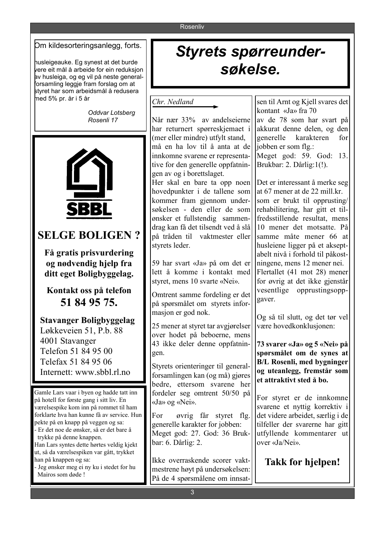#### Rosenliv

#### Om kildesorteringsanlegg, forts.

husleigeauke. Eg synest at det burde vere eit mål å arbeide for ein reduksjon av husleiga, og eg vil på neste generalforsamling leggje fram forslag om at styret har som arbeidsmål å redusera med 5% pr. år i 5 år

> Oddvar Lotsberg Rosenli 17



## **SELGE BOLIGEN?**

Få gratis prisvurdering og nødvendig hjelp fra ditt eget Boligbyggelag.

Kontakt oss på telefon 51 84 95 75.

**Stavanger Boligbyggelag** Løkkeveien 51, P.b. 88 4001 Stavanger Telefon 51 84 95 00 Telefax 51 84 95 06 Internett: www.sbbl.rl.no

Gamle Lars vaar i byen og hadde tatt inn på hotell for første gang i sitt liv. En værelsespike kom inn på rommet til ham forklarte hva han kunne få av service. Hun pekte på en knapp på veggen og sa: - Er det noe de ønsker, så er det bare å trykke på denne knappen. Han Lars syntes dette hørtes veldig kjekt ut, så da værelsespiken var gått, trykket han på knappen og sa: Jeg ønsker meg ei ny ku i stedet for hu Mairos som døde!

# **Styrets spørreunder**søkelse.

#### Chr. Nedland

Når nær 33% av andelseierne har returnert spørreskjemaet i (mer eller mindre) utfylt stand. må en ha lov til å anta at de innkomne svarene er representative for den generelle oppfatningen av og i borettslaget.

Her skal en bare ta opp noen hovedpunkter i de tallene som kommer fram gjennom undersøkelsen - den eller de som ønsker et fullstendig sammendrag kan få det tilsendt ved å slå på tråden til vaktmester eller styrets leder.

59 har svart «Ja» på om det er lett å komme i kontakt med styret, mens 10 svarte «Nei».

Omtrent samme fordeling er det på spørsmålet om styrets informasjon er god nok.

25 mener at styret tar avgjørelser over hodet på beboerne, mens 43 ikke deler denne oppfatningen.

Styrets orienteringer til generalforsamlingen kan (og må) gjøres bedre, ettersom svarene her fordeler seg omtrent 50/50 på «Ja» og «Nei».

For øvrig får styret flg. generelle karakter for jobben: Meget god: 27. God: 36 Brukbar: 6. Dårlig: 2.

Ikke overraskende scorer vaktmestrene høyt på undersøkelsen: På de 4 spørsmålene om innsat-

sen til Arnt og Kjell svares det kontant «Ja» fra 70 av de 78 som har svart på akkurat denne delen, og den generelle karakteren for iobben er som flg.: Meget god: 59. God: 13. Brukbar: 2. Dårlig:1(!).

Det er interessant å merke seg at 67 mener at de 22 mill.kr. som er brukt til opprusting/ rehabilitering, har gitt et tilfredsstillende resultat, mens 10 mener det motsatte På samme måte mener 66 at husleiene ligger på et akseptabelt nivå i forhold til påkostningene, mens 12 mener nei. Flertallet (41 mot 28) mener for øvrig at det ikke gjenstår vesentlige opprustingsoppgaver

Og så til slutt, og det tør vel være hovedkonklusjonen:

73 svarer «Ja» og 5 «Nei» på spørsmålet om de synes at **B/L Rosenli, med bygninger** og uteanlegg, fremstår som et attraktivt sted å bo.

For styret er de innkomne svarene et nyttig korrektiv i det videre arbeidet, særlig i de tilfeller der svarerne har gitt utfyllende kommentarer ut over «Ja/Nei»

**Takk for hjelpen!**